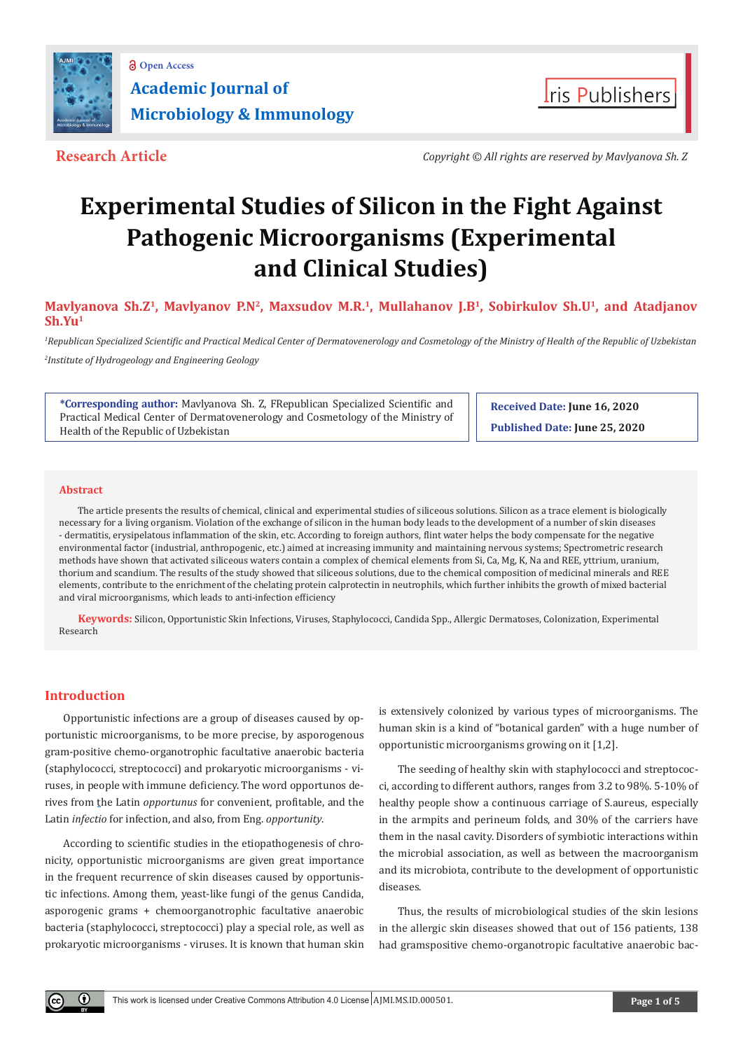



**Research Article** *Copyright © All rights are reserved by Mavlyanova Sh. Z*

# **Experimental Studies of Silicon in the Fight Against Pathogenic Microorganisms (Experimental and Clinical Studies)**

Mavlyanova Sh.Z<sup>1</sup>, Mavlyanov P.N<sup>2</sup>, Maxsudov M.R.<sup>1</sup>, Mullahanov J.B<sup>1</sup>, Sobirkulov Sh.U<sup>1</sup>, and Atadjanov **Sh.Yu1**

*1 Republican Specialized Scientific and Practical Medical Center of Dermatovenerology and Cosmetology of the Ministry of Health of the Republic of Uzbekistan 2 Institute of Hydrogeology and Engineering Geology*

**\*Corresponding author:** Mavlyanova Sh. Z, FRepublican Specialized Scientific and Practical Medical Center of Dermatovenerology and Cosmetology of the Ministry of Health of the Republic of Uzbekistan

**Received Date: June 16, 2020 Published Date: June 25, 2020**

### **Abstract**

The article presents the results of chemical, clinical and experimental studies of siliceous solutions. Silicon as a trace element is biologically necessary for a living organism. Violation of the exchange of silicon in the human body leads to the development of a number of skin diseases - dermatitis, erysipelatous inflammation of the skin, etc. According to foreign authors, flint water helps the body compensate for the negative environmental factor (industrial, anthropogenic, etc.) aimed at increasing immunity and maintaining nervous systems; Spectrometric research methods have shown that activated siliceous waters contain a complex of chemical elements from Si, Ca, Mg, K, Na and REE, yttrium, uranium, thorium and scandium. The results of the study showed that siliceous solutions, due to the chemical composition of medicinal minerals and REE elements, contribute to the enrichment of the chelating protein calprotectin in neutrophils, which further inhibits the growth of mixed bacterial and viral microorganisms, which leads to anti-infection efficiency

**Keywords:** Silicon, Opportunistic Skin Infections, Viruses, Staphylococci, Candida Spp., Allergic Dermatoses, Colonization, Experimental Research

# **Introduction**

Œ

Opportunistic infections are a group of diseases caused by opportunistic microorganisms, to be more precise, by asporogenous gram-positive chemo-organotrophic facultative anaerobic bacteria (staphylococci, streptococci) and prokaryotic microorganisms - viruses, in people with immune deficiency. The word opportunos derives from [the Latin](https://ru.wikipedia.org/wiki/%D0%9B%D0%B0%D1%82%D0%B8%D0%BD%D1%81%D0%BA%D0%B8%D0%B9_%D1%8F%D0%B7%D1%8B%D0%BA) *opportunus* for convenient, profitable, and the [Latin](https://ru.wikipedia.org/wiki/%D0%9B%D0%B0%D1%82%D0%B8%D0%BD%D1%81%D0%BA%D0%B8%D0%B9_%D1%8F%D0%B7%D1%8B%D0%BA) *infectio* for infection, and also, from [Eng.](https://ru.wikipedia.org/wiki/%D0%90%D0%BD%D0%B3%D0%BB%D0%B8%D0%B9%D1%81%D0%BA%D0%B8%D0%B9_%D1%8F%D0%B7%D1%8B%D0%BA) *opportunity*.

According to scientific studies in the etiopathogenesis of chronicity, opportunistic microorganisms are given great importance in the frequent recurrence of skin diseases caused by opportunistic infections. Among them, yeast-like fungi of the genus Candida, asporogenic grams + chemoorganotrophic facultative anaerobic bacteria (staphylococci, streptococci) play a special role, as well as prokaryotic microorganisms - viruses. It is known that human skin

is extensively colonized by various types of microorganisms. The human skin is a kind of "botanical garden" with a huge number of opportunistic microorganisms growing on it [1,2].

The seeding of healthy skin with staphylococci and streptococci, according to different authors, ranges from 3.2 to 98%. 5-10% of healthy people show a continuous carriage of S.aureus, especially in the armpits and perineum folds, and 30% of the carriers have them in the nasal cavity. Disorders of symbiotic interactions within the microbial association, as well as between the macroorganism and its microbiota, contribute to the development of opportunistic diseases.

Thus, the results of microbiological studies of the skin lesions in the allergic skin diseases showed that out of 156 patients, 138 had gramspositive chemo-organotropic facultative anaerobic bac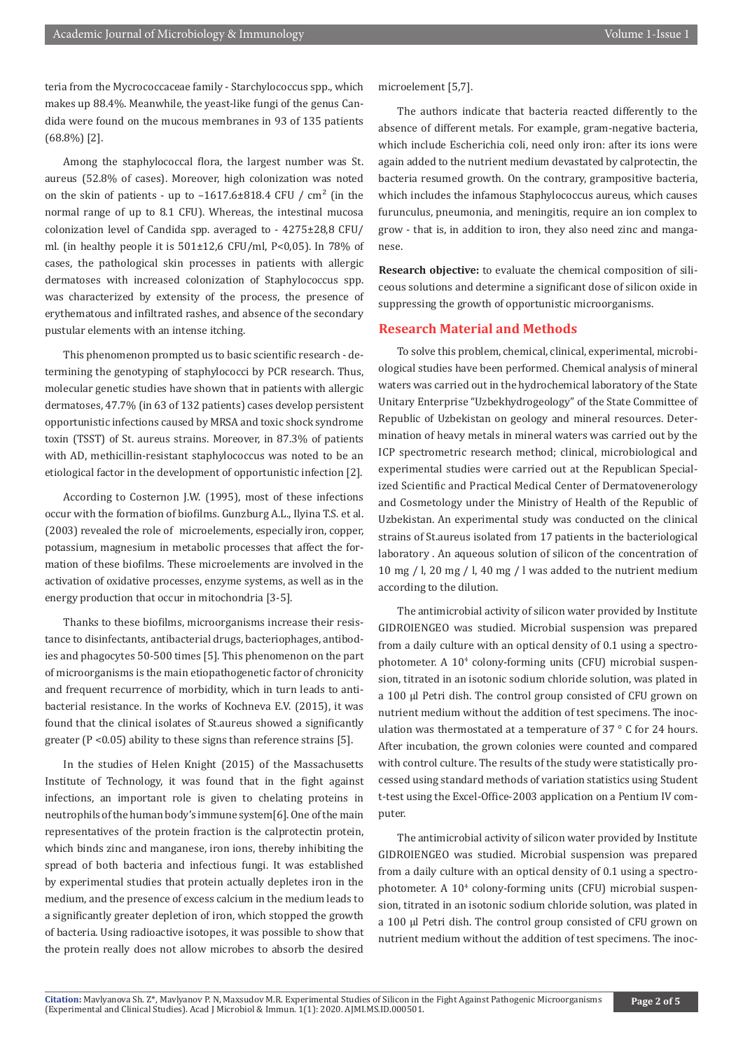teria from the Mycrococcaceae family - Starchylococcus spp., which makes up 88.4%. Meanwhile, the yeast-like fungi of the genus Candida were found on the mucous membranes in 93 of 135 patients (68.8%) [2].

Among the staphylococcal flora, the largest number was St. aureus (52.8% of cases). Moreover, high colonization was noted on the skin of patients - up to  $-1617.6\pm818.4$  CFU / cm<sup>2</sup> (in the normal range of up to 8.1 CFU). Whereas, the intestinal mucosa colonization level of Candida spp. averaged to - 4275±28,8 CFU/ ml. (in healthy people it is  $501\pm12.6$  CFU/ml, P<0.05). In 78% of cases, the pathological skin processes in patients with allergic dermatoses with increased colonization of Staphylococcus spp. was characterized by extensity of the process, the presence of erythematous and infiltrated rashes, and absence of the secondary pustular elements with an intense itching.

This phenomenon prompted us to basic scientific research - determining the genotyping of staphylococci by PCR research. Thus, molecular genetic studies have shown that in patients with allergic dermatoses, 47.7% (in 63 of 132 patients) cases develop persistent opportunistic infections caused by MRSA and toxic shock syndrome toxin (TSST) of St. aureus strains. Moreover, in 87.3% of patients with AD, methicillin-resistant staphylococcus was noted to be an etiological factor in the development of opportunistic infection [2].

According to Costernon J.W. (1995), most of these infections occur with the formation of biofilms. Gunzburg A.L., Ilyina T.S. et al. (2003) revealed the role of microelements, especially iron, copper, potassium, magnesium in metabolic processes that affect the formation of these biofilms. These microelements are involved in the activation of oxidative processes, enzyme systems, as well as in the energy production that occur in mitochondria [3-5].

Thanks to these biofilms, microorganisms increase their resistance to disinfectants, antibacterial drugs, bacteriophages, antibodies and phagocytes 50-500 times [5]. This phenomenon on the part of microorganisms is the main etiopathogenetic factor of chronicity and frequent recurrence of morbidity, which in turn leads to antibacterial resistance. In the works of Kochneva E.V. (2015), it was found that the clinical isolates of St.aureus showed a significantly greater (P <0.05) ability to these signs than reference strains [5].

In the studies of Helen Knight (2015) of the Massachusetts Institute of Technology, it was found that in the fight against infections, an important role is given to chelating proteins in neutrophils of the human body's immune system[6]. One of the main representatives of the protein fraction is the calprotectin protein, which binds zinc and manganese, iron ions, thereby inhibiting the spread of both bacteria and infectious fungi. It was established by experimental studies that protein actually depletes iron in the medium, and the presence of excess calcium in the medium leads to a significantly greater depletion of iron, which stopped the growth of bacteria. Using radioactive isotopes, it was possible to show that the protein really does not allow microbes to absorb the desired

microelement [5,7].

The authors indicate that bacteria reacted differently to the absence of different metals. For example, gram-negative bacteria, which include Escherichia coli, need only iron: after its ions were again added to the nutrient medium devastated by calprotectin, the bacteria resumed growth. On the contrary, grampositive bacteria, which includes the infamous Staphylococcus aureus, which causes furunculus, pneumonia, and meningitis, require an ion complex to grow - that is, in addition to iron, they also need zinc and manganese.

**Research objective:** to evaluate the chemical composition of siliceous solutions and determine a significant dose of silicon oxide in suppressing the growth of opportunistic microorganisms.

# **Research Material and Methods**

To solve this problem, chemical, clinical, experimental, microbiological studies have been performed. Chemical analysis of mineral waters was carried out in the hydrochemical laboratory of the State Unitary Enterprise "Uzbekhydrogeology" of the State Committee of Republic of Uzbekistan on geology and mineral resources. Determination of heavy metals in mineral waters was carried out by the ICP spectrometric research method; clinical, microbiological and experimental studies were carried out at the Republican Specialized Scientific and Practical Medical Center of Dermatovenerology and Cosmetology under the Ministry of Health of the Republic of Uzbekistan. An experimental study was conducted on the clinical strains of St.aureus isolated from 17 patients in the bacteriological laboratory . An aqueous solution of silicon of the concentration of 10 mg / l, 20 mg / l, 40 mg / l was added to the nutrient medium according to the dilution.

The antimicrobial activity of silicon water provided by Institute GIDROIENGEO was studied. Microbial suspension was prepared from a daily culture with an optical density of 0.1 using a spectrophotometer. A 104 colony-forming units (CFU) microbial suspension, titrated in an isotonic sodium chloride solution, was plated in a 100 μl Petri dish. The control group consisted of CFU grown on nutrient medium without the addition of test specimens. The inoculation was thermostated at a temperature of 37 ° C for 24 hours. After incubation, the grown colonies were counted and compared with control culture. The results of the study were statistically processed using standard methods of variation statistics using Student t-test using the Excel-Office-2003 application on a Pentium IV computer.

The antimicrobial activity of silicon water provided by Institute GIDROIENGEO was studied. Microbial suspension was prepared from a daily culture with an optical density of 0.1 using a spectrophotometer. A 104 colony-forming units (CFU) microbial suspension, titrated in an isotonic sodium chloride solution, was plated in a 100 μl Petri dish. The control group consisted of CFU grown on nutrient medium without the addition of test specimens. The inoc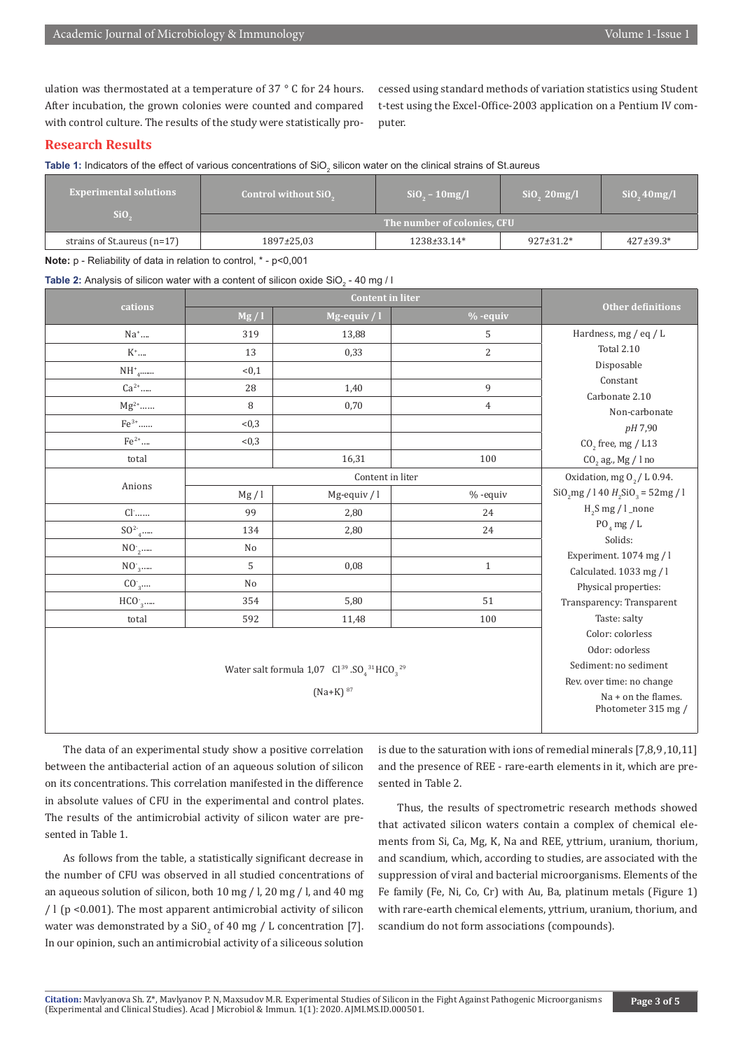ulation was thermostated at a temperature of 37 ° C for 24 hours. After incubation, the grown colonies were counted and compared with control culture. The results of the study were statistically processed using standard methods of variation statistics using Student t-test using the Excel-Office-2003 application on a Pentium IV computer.

# **Research Results**

**Table 1:** Indicators of the effect of various concentrations of SiO<sub>2</sub> silicon water on the clinical strains of St.aureus

| <b>Experimental solutions</b><br>Si <sub>0</sub> | <b>Control without SiO</b> <sub>2</sub> | $SiO_{\circ} - 10mg/l$ | $SiO_{2}$ 20mg/l | SiO, 40mg/l      |  |
|--------------------------------------------------|-----------------------------------------|------------------------|------------------|------------------|--|
|                                                  | The number of colonies, CFU             |                        |                  |                  |  |
| strains of St. aureus $(n=17)$                   | 1897±25,03                              | 1238±33.14*            | $927 \pm 31.2^*$ | $427 \pm 39.3^*$ |  |

**Note:** p - Reliability of data in relation to control, \* - р<0,001

**Table 2:** Analysis of silicon water with a content of silicon oxide SiO $_2$  - 40 mg / I

|                             | <b>Content in liter</b>                      |               |                |                                                 |  |
|-----------------------------|----------------------------------------------|---------------|----------------|-------------------------------------------------|--|
| cations                     | Mg/l                                         | Mg-equiv $/1$ | $%$ -equiv     | <b>Other definitions</b>                        |  |
| Na <sup>+</sup>             | 319                                          | 13,88         | 5              | Hardness, mg / eq / L                           |  |
| $K^*$                       | 13                                           | 0,33          | $\overline{c}$ | Total 2.10                                      |  |
| $NH^*_{4}$                  | < 0.1                                        |               |                | Disposable                                      |  |
| $\mathbb{C}\mathrm{a}^{2+}$ | 28                                           | 1,40          | 9              | Constant                                        |  |
| $\rm Mg^{2+}.$              | 8                                            | 0,70          | $\overline{4}$ | Carbonate 2.10<br>Non-carbonate                 |  |
| $Fe^{3+}$                   | < 0.3                                        |               |                | pH 7,90                                         |  |
| $\rm Fe^{2+}$               | < 0.3                                        |               |                | $CO2$ free, mg / L13                            |  |
| total                       |                                              | 16,31         | 100            | $\mathrm{CO}_2$ ag., Mg / l no                  |  |
| Anions                      | Content in liter                             |               |                | Oxidation, mg $O_2/$ L $0.94$                   |  |
|                             | Mg/l                                         | Mg-equiv $/1$ | $% -equiv$     | $SiO_2mg / 140 H_2SiO_3 = 52mg / 1$             |  |
| $Cl^{\cdot}$                | 99                                           | 2,80          | 24             | $H_2S$ mg / l_none                              |  |
| $SO^2$ <sub>4</sub>         | 134                                          | 2,80          | 24             | $PO_4$ mg / L                                   |  |
| NO <sub>2</sub>             | N <sub>o</sub>                               |               |                | Solids:                                         |  |
| NO <sub>3</sub>             | 5                                            | 0,08          | $\mathbf{1}$   | Experiment. 1074 mg / l                         |  |
| CO <sub>3</sub>             | N <sub>o</sub>                               |               |                | Calculated. 1033 mg / l<br>Physical properties: |  |
| HCO <sub>3</sub>            | 354                                          | 5,80          | 51             | Transparency: Transparent                       |  |
| total                       | 592                                          | 11,48         | 100            | Taste: salty                                    |  |
|                             |                                              |               |                | Color: colorless                                |  |
|                             | Odor: odorless                               |               |                |                                                 |  |
|                             | Sediment: no sediment                        |               |                |                                                 |  |
|                             | Rev. over time: no change                    |               |                |                                                 |  |
|                             | $Na + on$ the flames.<br>Photometer 315 mg / |               |                |                                                 |  |
|                             |                                              |               |                |                                                 |  |

The data of an experimental study show a positive correlation between the antibacterial action of an aqueous solution of silicon on its concentrations. This correlation manifested in the difference in absolute values of CFU in the experimental and control plates. The results of the antimicrobial activity of silicon water are presented in Table 1.

As follows from the table, a statistically significant decrease in the number of CFU was observed in all studied concentrations of an aqueous solution of silicon, both 10 mg / l, 20 mg / l, and 40 mg / l (p <0.001). The most apparent antimicrobial activity of silicon water was demonstrated by a  $\text{SiO}_2$  of 40 mg / L concentration [7]. In our opinion, such an antimicrobial activity of a siliceous solution

is due to the saturation with ions of remedial minerals [7,8,9 ,10,11] and the presence of REE - rare-earth elements in it, which are presented in Table 2.

Thus, the results of spectrometric research methods showed that activated silicon waters contain a complex of chemical elements from Si, Ca, Mg, K, Na and REE, yttrium, uranium, thorium, and scandium, which, according to studies, are associated with the suppression of viral and bacterial microorganisms. Elements of the Fe family (Fe, Ni, Co, Cr) with Au, Ba, platinum metals (Figure 1) with rare-earth chemical elements, yttrium, uranium, thorium, and scandium do not form associations (compounds).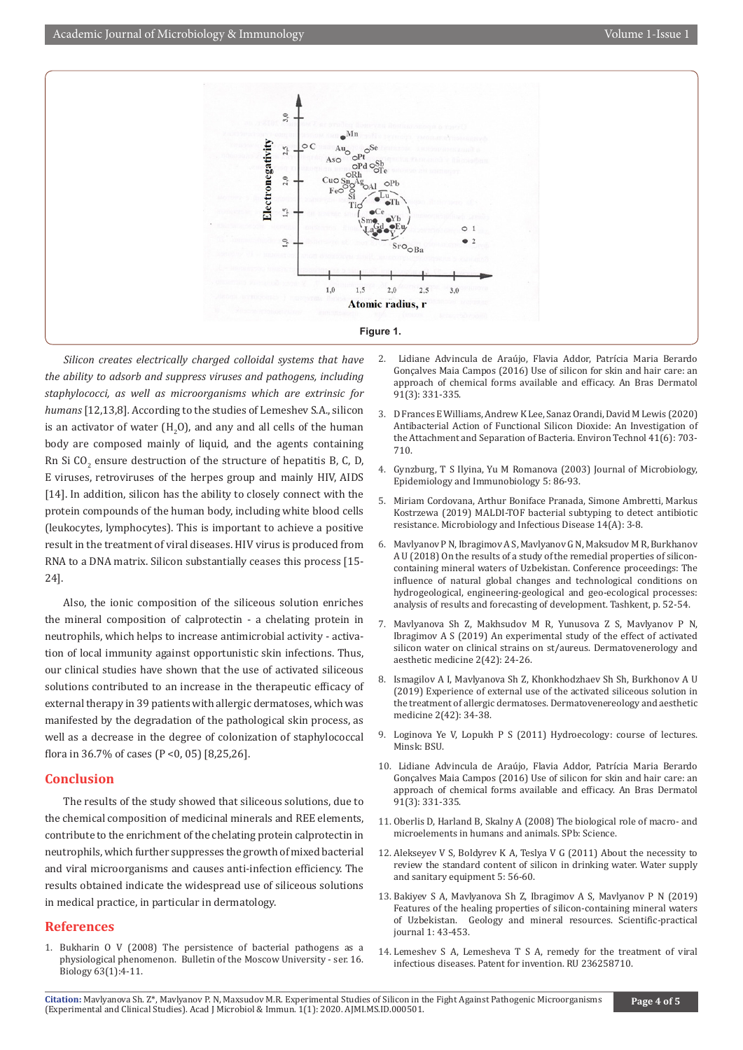

*Silicon creates electrically charged colloidal systems that have the ability to adsorb and suppress viruses and pathogens, including staphylococci, as well as microorganisms which are extrinsic for humans* [12,13,8]*.* According to the studies of Lemeshev S.A., silicon is an activator of water  $\rm(H_2O)$ , and any and all cells of the human body are composed mainly of liquid, and the agents containing  $\rm{Rn}$  Si CO $_2$  ensure destruction of the structure of hepatitis B, C, D, E viruses, retroviruses of the herpes group and mainly HIV, AIDS [14]. In addition, silicon has the ability to closely connect with the protein compounds of the human body, including white blood cells (leukocytes, lymphocytes). This is important to achieve a positive result in the treatment of viral diseases. HIV virus is produced from RNA to a DNA matrix. Silicon substantially ceases this process [15- 24].

Also, the ionic composition of the siliceous solution enriches the mineral composition of calprotectin - a chelating protein in neutrophils, which helps to increase antimicrobial activity - activation of local immunity against opportunistic skin infections. Thus, our clinical studies have shown that the use of activated siliceous solutions contributed to an increase in the therapeutic efficacy of external therapy in 39 patients with allergic dermatoses, which was manifested by the degradation of the pathological skin process, as well as a decrease in the degree of colonization of staphylococcal flora in 36.7% of cases (P <0, 05) [8,25,26].

#### **Conclusion**

The results of the study showed that siliceous solutions, due to the chemical composition of medicinal minerals and REE elements, contribute to the enrichment of the chelating protein calprotectin in neutrophils, which further suppresses the growth of mixed bacterial and viral microorganisms and causes anti-infection efficiency. The results obtained indicate the widespread use of siliceous solutions in medical practice, in particular in dermatology.

## **References**

1. [Bukharin O V \(2008\) The persistence of bacterial pathogens as a](https://link.springer.com/article/10.1007/s11966-008-1002-z)  [physiological phenomenon. Bulletin of the Moscow University - ser. 16.](https://link.springer.com/article/10.1007/s11966-008-1002-z)  [Biology 63\(1\):4-11.](https://link.springer.com/article/10.1007/s11966-008-1002-z)

- 2. Lidiane Advincula de Araújo, Flavia Addor, Patrícia Maria Berardo Gonçalves Maia Campos (2016) Use of silicon for skin and hair care: an approach of chemical forms available and efficacy. An Bras Dermatol 91(3): 331-335.
- 3. [D Frances E Williams, Andrew K Lee, Sanaz Orandi, David M Lewis \(2020\)](https://www.tandfonline.com/doi/abs/10.1080/09593330.2018.1509887) [Antibacterial Action of Functional Silicon Dioxide: An Investigation of](https://www.tandfonline.com/doi/abs/10.1080/09593330.2018.1509887) [the Attachment and Separation of Bacteria. Environ Technol 41\(6\): 703-](https://www.tandfonline.com/doi/abs/10.1080/09593330.2018.1509887) [710.](https://www.tandfonline.com/doi/abs/10.1080/09593330.2018.1509887)
- 4. Gynzburg, T S Ilyina, Yu M Romanova (2003) Journal of Microbiology, Epidemiology and Immunobiology 5: 86-93.
- 5. [Miriam Cordovana, Arthur Boniface Pranada, Simone Ambretti, Markus](file://C:\Users\SJRR\Desktop\AJMI_Journal%20Data\AJMI_Microbiology\1.%20Articles\June\AJMI-20-RA-503\AJMI-20-RA-503_W\12.Miriam%20Cordovana,%20Arthur%20Boniface%20Pranada,%20Simone%20Ambretti,%20Markus%20Kostrzewa%20(2019)%20MALDI-TOF%20bacterial%20subtyping%20to%20detect%20antibiotic%20resistance.%20Microbiology%20and%20Infectious%20Disease.%20%2014(A):%203-8.) [Kostrzewa \(2019\) MALDI-TOF bacterial subtyping to detect antibiotic](file://C:\Users\SJRR\Desktop\AJMI_Journal%20Data\AJMI_Microbiology\1.%20Articles\June\AJMI-20-RA-503\AJMI-20-RA-503_W\12.Miriam%20Cordovana,%20Arthur%20Boniface%20Pranada,%20Simone%20Ambretti,%20Markus%20Kostrzewa%20(2019)%20MALDI-TOF%20bacterial%20subtyping%20to%20detect%20antibiotic%20resistance.%20Microbiology%20and%20Infectious%20Disease.%20%2014(A):%203-8.) [resistance. Microbiology and Infectious Disease 14\(A\): 3-8.](file://C:\Users\SJRR\Desktop\AJMI_Journal%20Data\AJMI_Microbiology\1.%20Articles\June\AJMI-20-RA-503\AJMI-20-RA-503_W\12.Miriam%20Cordovana,%20Arthur%20Boniface%20Pranada,%20Simone%20Ambretti,%20Markus%20Kostrzewa%20(2019)%20MALDI-TOF%20bacterial%20subtyping%20to%20detect%20antibiotic%20resistance.%20Microbiology%20and%20Infectious%20Disease.%20%2014(A):%203-8.)
- 6. Mavlyanov P N, Ibragimov A S, Mavlyanov G N, Maksudov M R, Burkhanov A U (2018) On the results of a study of the remedial properties of siliconcontaining mineral waters of Uzbekistan. Conference proceedings: The influence of natural global changes and technological conditions on hydrogeological, engineering-geological and geo-ecological processes: analysis of results and forecasting of development. Tashkent, p. 52-54.
- 7. Mavlyanova Sh Z, Makhsudov M R, Yunusova Z S, Mavlyanov P N, Ibragimov A S (2019) An experimental study of the effect of activated silicon water on clinical strains on st/aureus. Dermatovenerology and aesthetic medicine 2(42): 24-26.
- 8. Ismagilov A I, Mavlyanova Sh Z, Khonkhodzhaev Sh Sh, Burkhonov A U (2019) Experience of external use of the activated siliceous solution in the treatment of allergic dermatoses. Dermatovenereology and aesthetic medicine 2(42): 34-38.
- 9. Loginova Ye V, Lopukh P S (2011) Hydroecology: course of lectures. Minsk: BSU.
- 10. [Lidiane Advincula de Araújo, Flavia Addor, Patrícia Maria Berardo](https://pubmed.ncbi.nlm.nih.gov/27438201/) [Gonçalves Maia Campos \(2016\) Use of silicon for skin and hair care: an](https://pubmed.ncbi.nlm.nih.gov/27438201/) [approach of chemical forms available and efficacy. An Bras Dermatol](https://pubmed.ncbi.nlm.nih.gov/27438201/) [91\(3\): 331-335.](https://pubmed.ncbi.nlm.nih.gov/27438201/)
- 11. Oberlis D, Harland B, Skalny A (2008) The biological role of macro- and microelements in humans and animals. SPb: Science.
- 12. Alekseyev V S, Boldyrev K A, Teslya V G (2011) About the necessity to review the standard content of silicon in drinking water. Water supply and sanitary equipment 5: 56-60.
- 13. Bakiyev S A, Mavlyanova Sh Z, Ibragimov A S, Mavlyanov P N (2019) Features of the healing properties of silicon-containing mineral waters of Uzbekistan. Geology and mineral resources. Scientific-practical journal 1: 43-453.
- 14. Lemeshev S A, Lemesheva T S A, remedy for the treatment of viral infectious diseases. Patent for invention. RU 236258710.